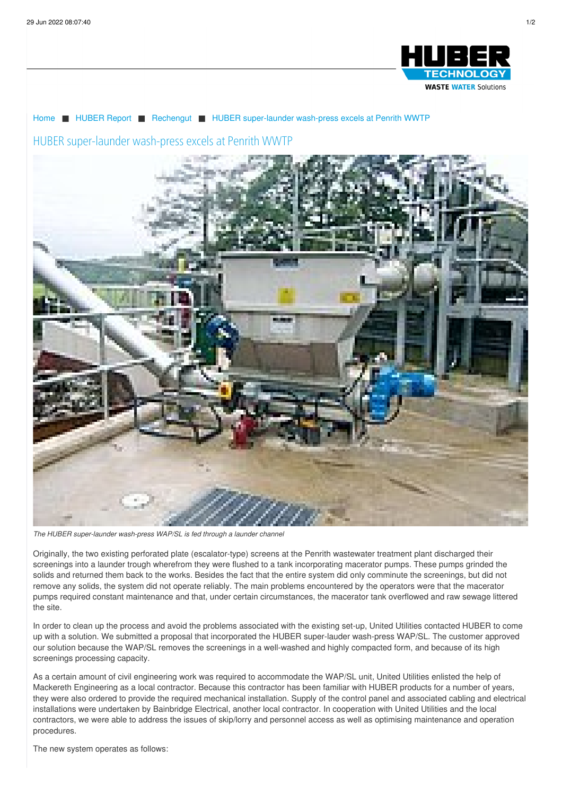

## [Home](/de.html) ■ [HUBER](/de/huber-report.html) Report ■ [Rechengut](/de/huber-report/praxisberichte/rechengut.html) ■ HUBER [super-launder](/de/huber-report/praxisberichte/rechengut/huber-super-launder-wash-press-excels-at-penrith-wwtp.html) wash-press excels at Penrith WWTP

## HUBER super-launder wash-press excels at Penrith WWTP



*The HUBER super-launder wash-press WAP/SL is fed through a launder channel*

Originally, the two existing perforated plate (escalator-type) screens at the Penrith wastewater treatment plant discharged their screenings into a launder trough wherefrom they were flushed to a tank incorporating macerator pumps. These pumps grinded the solids and returned them back to the works. Besides the fact that the entire system did only comminute the screenings, but did not remove any solids, the system did not operate reliably. The main problems encountered by the operators were that the macerator pumps required constant maintenance and that, under certain circumstances, the macerator tank overflowed and raw sewage littered the site.

In order to clean up the process and avoid the problems associated with the existing set-up, United Utilities contacted HUBER to come up with a solution. We submitted a proposal that incorporated the HUBER super-lauder wash-press WAP/SL. The customer approved our solution because the WAP/SL removes the screenings in a well-washed and highly compacted form, and because of its high screenings processing capacity.

As a certain amount of civil engineering work was required to accommodate the WAP/SL unit, United Utilities enlisted the help of Mackereth Engineering as a local contractor. Because this contractor has been familiar with HUBER products for a number of years, they were also ordered to provide the required mechanical installation. Supply of the control panel and associated cabling and electrical installations were undertaken by Bainbridge Electrical, another local contractor. In cooperation with United Utilities and the local contractors, we were able to address the issues of skip/lorry and personnel access as well as optimising maintenance and operation procedures.

The new system operates as follows: